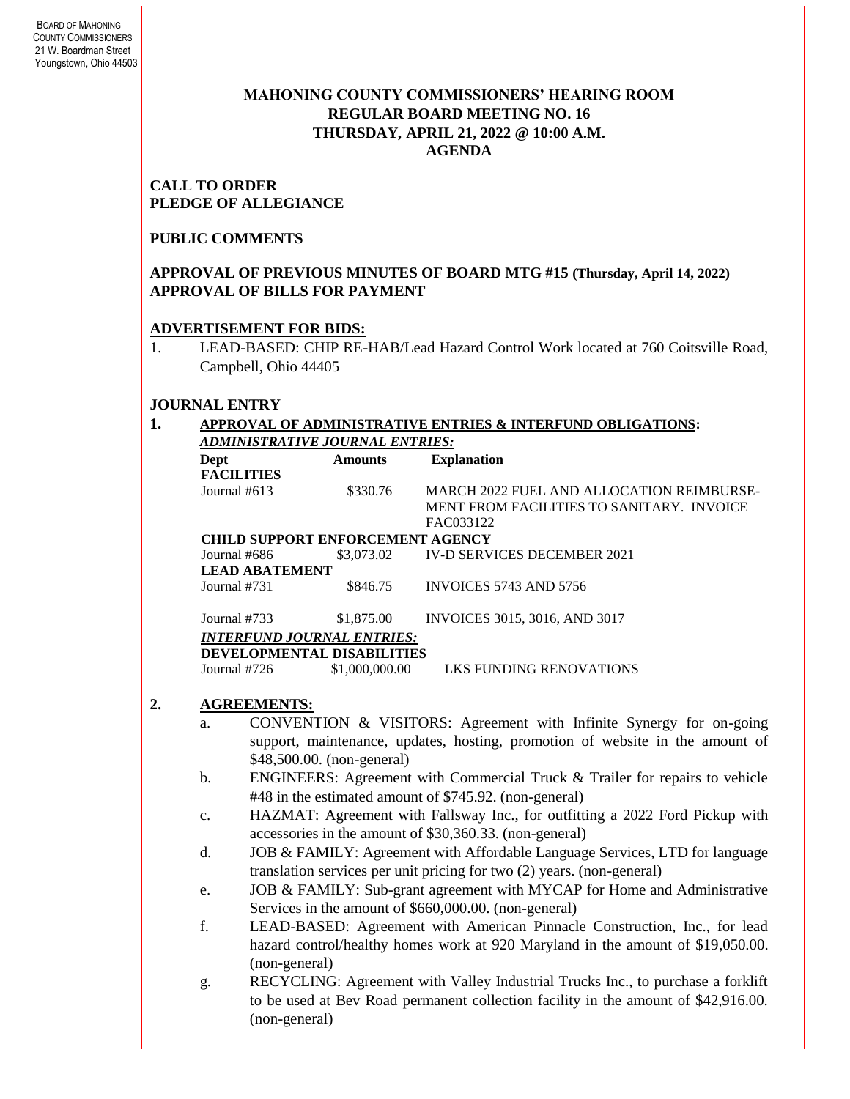### **MAHONING COUNTY COMMISSIONERS' HEARING ROOM REGULAR BOARD MEETING NO. 16 THURSDAY***,* **APRIL 21, 2022 @ 10:00 A.M. AGENDA**

#### **CALL TO ORDER PLEDGE OF ALLEGIANCE**

## **PUBLIC COMMENTS**

### **APPROVAL OF PREVIOUS MINUTES OF BOARD MTG #15 (Thursday, April 14, 2022) APPROVAL OF BILLS FOR PAYMENT**

### **ADVERTISEMENT FOR BIDS:**

1. LEAD-BASED: CHIP RE-HAB/Lead Hazard Control Work located at 760 Coitsville Road, Campbell, Ohio 44405

# **JOURNAL ENTRY**

#### **1. APPROVAL OF ADMINISTRATIVE ENTRIES & INTERFUND OBLIGATIONS:**  *ADMINISTRATIVE JOURNAL ENTRIES:*

| Dept                  | <b>Amounts</b>                                                                | <b>Explanation</b>                                                          |  |
|-----------------------|-------------------------------------------------------------------------------|-----------------------------------------------------------------------------|--|
| <b>FACILITIES</b>     |                                                                               |                                                                             |  |
| Journal #613          | \$330.76                                                                      | MARCH 2022 FUEL AND ALLOCATION REIMBURSE-                                   |  |
|                       |                                                                               | <b>MENT FROM FACILITIES TO SANITARY. INVOICE</b>                            |  |
|                       |                                                                               | FAC033122                                                                   |  |
|                       | <b>CHILD SUPPORT ENFORCEMENT AGENCY</b>                                       |                                                                             |  |
| Journal #686          | \$3,073.02                                                                    | <b>IV-D SERVICES DECEMBER 2021</b>                                          |  |
| <b>LEAD ABATEMENT</b> |                                                                               |                                                                             |  |
| Journal #731          | \$846.75                                                                      | INVOICES 5743 AND 5756                                                      |  |
|                       |                                                                               |                                                                             |  |
| Journal #733          | \$1,875.00                                                                    | INVOICES 3015, 3016, AND 3017                                               |  |
|                       | <b>INTERFUND JOURNAL ENTRIES:</b>                                             |                                                                             |  |
|                       | DEVELOPMENTAL DISABILITIES                                                    |                                                                             |  |
| Journal #726          | \$1,000,000.00                                                                | <b>LKS FUNDING RENOVATIONS</b>                                              |  |
| <b>AGREEMENTS:</b>    |                                                                               |                                                                             |  |
|                       |                                                                               |                                                                             |  |
| a.                    |                                                                               | CONVENTION & VISITORS: Agreement with Infinite Synergy for on-going         |  |
|                       | support, maintenance, updates, hosting, promotion of website in the amount of |                                                                             |  |
|                       | \$48,500.00. (non-general)                                                    |                                                                             |  |
| b.                    |                                                                               | ENGINEERS: Agreement with Commercial Truck & Trailer for repairs to vehicle |  |
|                       |                                                                               | #48 in the estimated amount of \$745.92. (non-general)                      |  |
|                       |                                                                               |                                                                             |  |

- c. HAZMAT: Agreement with Fallsway Inc., for outfitting a 2022 Ford Pickup with accessories in the amount of \$30,360.33. (non-general)
- d. JOB & FAMILY: Agreement with Affordable Language Services, LTD for language translation services per unit pricing for two (2) years. (non-general)
- e. JOB & FAMILY: Sub-grant agreement with MYCAP for Home and Administrative Services in the amount of \$660,000.00. (non-general)
- f. LEAD-BASED: Agreement with American Pinnacle Construction, Inc., for lead hazard control/healthy homes work at 920 Maryland in the amount of \$19,050.00. (non-general)
- g. RECYCLING: Agreement with Valley Industrial Trucks Inc., to purchase a forklift to be used at Bev Road permanent collection facility in the amount of \$42,916.00. (non-general)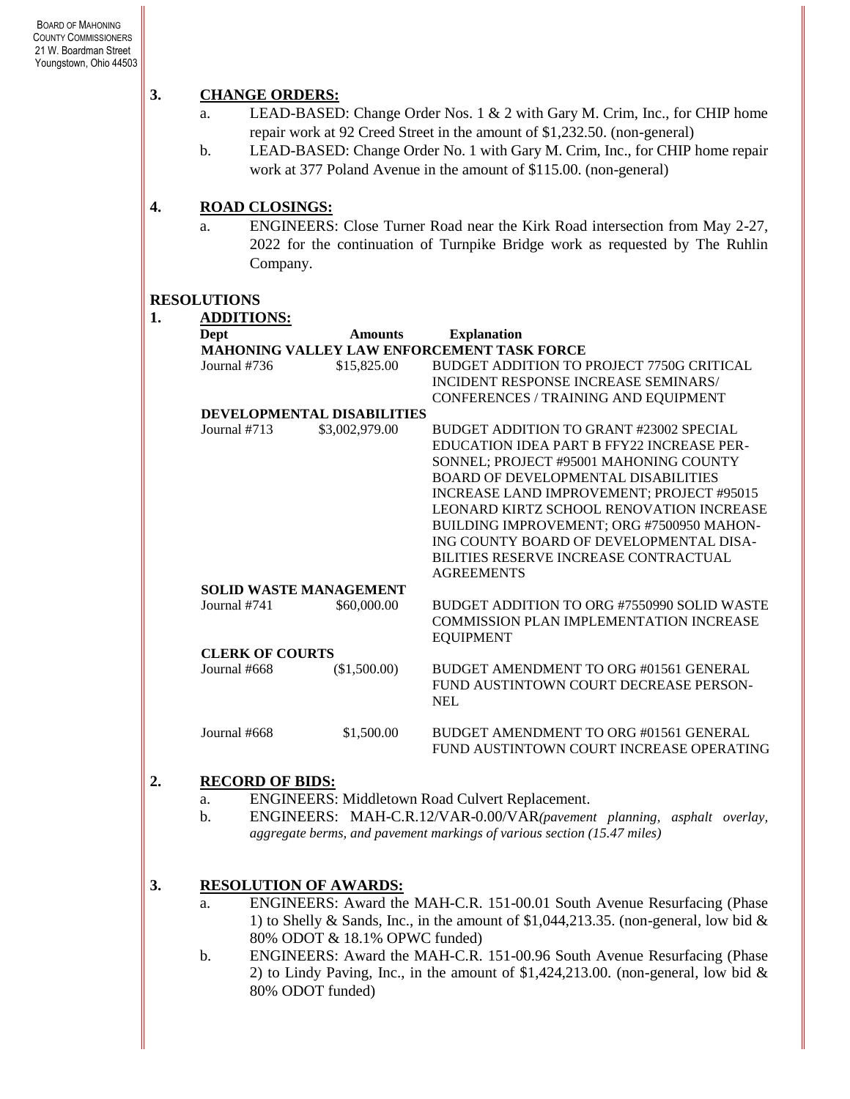### **3. CHANGE ORDERS:**

- a. LEAD-BASED: Change Order Nos. 1 & 2 with Gary M. Crim, Inc., for CHIP home repair work at 92 Creed Street in the amount of \$1,232.50. (non-general)
- b. LEAD-BASED: Change Order No. 1 with Gary M. Crim, Inc., for CHIP home repair work at 377 Poland Avenue in the amount of \$115.00. (non-general)

#### **4. ROAD CLOSINGS:**

**1. ADDITIONS:**

a. ENGINEERS: Close Turner Road near the Kirk Road intersection from May 2-27, 2022 for the continuation of Turnpike Bridge work as requested by The Ruhlin Company.

#### **RESOLUTIONS**

| ı. |  |  |
|----|--|--|
|    |  |  |
|    |  |  |

| <b>Dept</b>            | <b>Amounts</b>                | <b>Explanation</b>                                                                                                                                                                                                                                                                                                                                                                                                                 |
|------------------------|-------------------------------|------------------------------------------------------------------------------------------------------------------------------------------------------------------------------------------------------------------------------------------------------------------------------------------------------------------------------------------------------------------------------------------------------------------------------------|
|                        |                               | <b>MAHONING VALLEY LAW ENFORCEMENT TASK FORCE</b>                                                                                                                                                                                                                                                                                                                                                                                  |
| Journal #736           | \$15,825.00                   | BUDGET ADDITION TO PROJECT 7750G CRITICAL<br>INCIDENT RESPONSE INCREASE SEMINARS/<br>CONFERENCES / TRAINING AND EQUIPMENT                                                                                                                                                                                                                                                                                                          |
|                        | DEVELOPMENTAL DISABILITIES    |                                                                                                                                                                                                                                                                                                                                                                                                                                    |
| Journal #713           | \$3,002,979.00                | BUDGET ADDITION TO GRANT #23002 SPECIAL<br>EDUCATION IDEA PART B FFY22 INCREASE PER-<br>SONNEL; PROJECT #95001 MAHONING COUNTY<br><b>BOARD OF DEVELOPMENTAL DISABILITIES</b><br>INCREASE LAND IMPROVEMENT; PROJECT #95015<br><b>LEONARD KIRTZ SCHOOL RENOVATION INCREASE</b><br>BUILDING IMPROVEMENT; ORG #7500950 MAHON-<br>ING COUNTY BOARD OF DEVELOPMENTAL DISA-<br>BILITIES RESERVE INCREASE CONTRACTUAL<br><b>AGREEMENTS</b> |
|                        | <b>SOLID WASTE MANAGEMENT</b> |                                                                                                                                                                                                                                                                                                                                                                                                                                    |
| Journal #741           | \$60,000.00                   | BUDGET ADDITION TO ORG #7550990 SOLID WASTE<br><b>COMMISSION PLAN IMPLEMENTATION INCREASE</b><br><b>EQUIPMENT</b>                                                                                                                                                                                                                                                                                                                  |
| <b>CLERK OF COURTS</b> |                               |                                                                                                                                                                                                                                                                                                                                                                                                                                    |
| Journal #668           | (\$1,500.00)                  | BUDGET AMENDMENT TO ORG #01561 GENERAL<br>FUND AUSTINTOWN COURT DECREASE PERSON-<br><b>NEL</b>                                                                                                                                                                                                                                                                                                                                     |
| Journal #668           | \$1,500.00                    | BUDGET AMENDMENT TO ORG #01561 GENERAL<br>FUND AUSTINTOWN COURT INCREASE OPERATING                                                                                                                                                                                                                                                                                                                                                 |

### **2. RECORD OF BIDS:**

- a. ENGINEERS: Middletown Road Culvert Replacement.
- b. ENGINEERS: MAH-C.R.12/VAR-0.00/VAR*(pavement planning, asphalt overlay, aggregate berms, and pavement markings of various section (15.47 miles)*
- **3. RESOLUTION OF AWARDS:**
	- a. ENGINEERS: Award the MAH-C.R. 151-00.01 South Avenue Resurfacing (Phase 1) to Shelly & Sands, Inc., in the amount of \$1,044,213.35. (non-general, low bid  $\&$ 80% ODOT & 18.1% OPWC funded)
	- b. ENGINEERS: Award the MAH-C.R. 151-00.96 South Avenue Resurfacing (Phase 2) to Lindy Paving, Inc., in the amount of  $$1,424,213.00$ . (non-general, low bid & 80% ODOT funded)